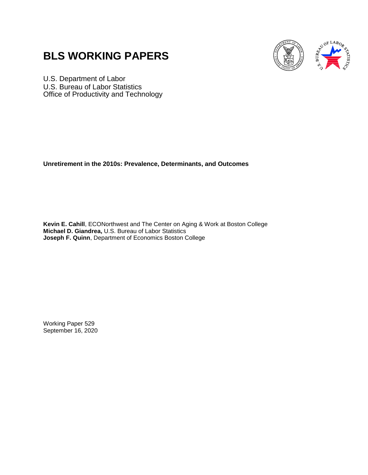# **BLS WORKING PAPERS**



U.S. Department of Labor U.S. Bureau of Labor Statistics Office of Productivity and Technology

**Unretirement in the 2010s: Prevalence, Determinants, and Outcomes**

**Kevin E. Cahill**, ECONorthwest and The Center on Aging & Work at Boston College **Michael D. Giandrea,** U.S. Bureau of Labor Statistics **Joseph F. Quinn**, Department of Economics Boston College

Working Paper 529 September 16, 2020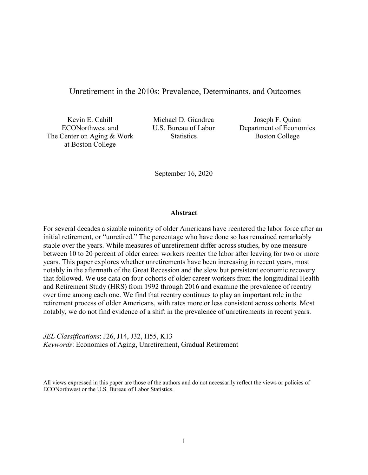## Unretirement in the 2010s: Prevalence, Determinants, and Outcomes

Kevin E. Cahill ECONorthwest and The Center on Aging & Work at Boston College

Michael D. Giandrea U.S. Bureau of Labor **Statistics** 

Joseph F. Quinn Department of Economics Boston College

September 16, 2020

## **Abstract**

For several decades a sizable minority of older Americans have reentered the labor force after an initial retirement, or "unretired." The percentage who have done so has remained remarkably stable over the years. While measures of unretirement differ across studies, by one measure between 10 to 20 percent of older career workers reenter the labor after leaving for two or more years. This paper explores whether unretirements have been increasing in recent years, most notably in the aftermath of the Great Recession and the slow but persistent economic recovery that followed. We use data on four cohorts of older career workers from the longitudinal Health and Retirement Study (HRS) from 1992 through 2016 and examine the prevalence of reentry over time among each one. We find that reentry continues to play an important role in the retirement process of older Americans, with rates more or less consistent across cohorts. Most notably, we do not find evidence of a shift in the prevalence of unretirements in recent years.

*JEL Classifications*: J26, J14, J32, H55, K13 *Keywords*: Economics of Aging, Unretirement, Gradual Retirement

All views expressed in this paper are those of the authors and do not necessarily reflect the views or policies of ECONorthwest or the U.S. Bureau of Labor Statistics.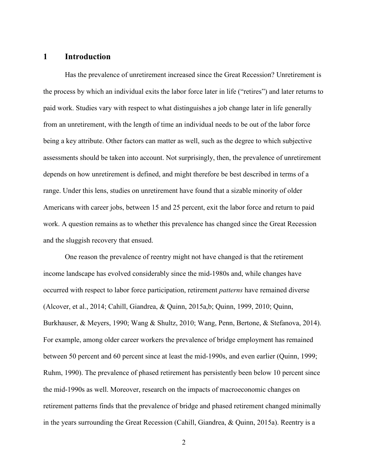# **1 Introduction**

Has the prevalence of unretirement increased since the Great Recession? Unretirement is the process by which an individual exits the labor force later in life ("retires") and later returns to paid work. Studies vary with respect to what distinguishes a job change later in life generally from an unretirement, with the length of time an individual needs to be out of the labor force being a key attribute. Other factors can matter as well, such as the degree to which subjective assessments should be taken into account. Not surprisingly, then, the prevalence of unretirement depends on how unretirement is defined, and might therefore be best described in terms of a range. Under this lens, studies on unretirement have found that a sizable minority of older Americans with career jobs, between 15 and 25 percent, exit the labor force and return to paid work. A question remains as to whether this prevalence has changed since the Great Recession and the sluggish recovery that ensued.

One reason the prevalence of reentry might not have changed is that the retirement income landscape has evolved considerably since the mid-1980s and, while changes have occurred with respect to labor force participation, retirement *patterns* have remained diverse (Alcover, et al., 2014; Cahill, Giandrea, & Quinn, 2015a,b; Quinn, 1999, 2010; Quinn, Burkhauser, & Meyers, 1990; Wang & Shultz, 2010; Wang, Penn, Bertone, & Stefanova, 2014). For example, among older career workers the prevalence of bridge employment has remained between 50 percent and 60 percent since at least the mid-1990s, and even earlier (Quinn, 1999; Ruhm, 1990). The prevalence of phased retirement has persistently been below 10 percent since the mid-1990s as well. Moreover, research on the impacts of macroeconomic changes on retirement patterns finds that the prevalence of bridge and phased retirement changed minimally in the years surrounding the Great Recession (Cahill, Giandrea, & Quinn, 2015a). Reentry is a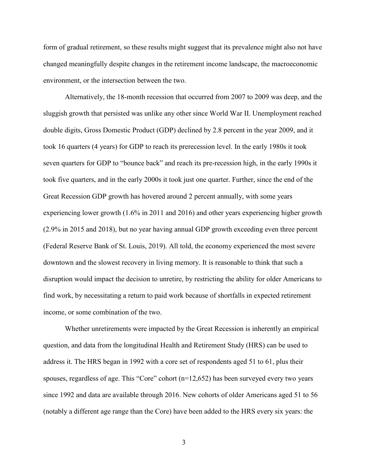form of gradual retirement, so these results might suggest that its prevalence might also not have changed meaningfully despite changes in the retirement income landscape, the macroeconomic environment, or the intersection between the two.

Alternatively, the 18-month recession that occurred from 2007 to 2009 was deep, and the sluggish growth that persisted was unlike any other since World War II. Unemployment reached double digits, Gross Domestic Product (GDP) declined by 2.8 percent in the year 2009, and it took 16 quarters (4 years) for GDP to reach its prerecession level. In the early 1980s it took seven quarters for GDP to "bounce back" and reach its pre-recession high, in the early 1990s it took five quarters, and in the early 2000s it took just one quarter. Further, since the end of the Great Recession GDP growth has hovered around 2 percent annually, with some years experiencing lower growth (1.6% in 2011 and 2016) and other years experiencing higher growth (2.9% in 2015 and 2018), but no year having annual GDP growth exceeding even three percent (Federal Reserve Bank of St. Louis, 2019). All told, the economy experienced the most severe downtown and the slowest recovery in living memory. It is reasonable to think that such a disruption would impact the decision to unretire, by restricting the ability for older Americans to find work, by necessitating a return to paid work because of shortfalls in expected retirement income, or some combination of the two.

Whether unretirements were impacted by the Great Recession is inherently an empirical question, and data from the longitudinal Health and Retirement Study (HRS) can be used to address it. The HRS began in 1992 with a core set of respondents aged 51 to 61, plus their spouses, regardless of age. This "Core" cohort (n=12,652) has been surveyed every two years since 1992 and data are available through 2016. New cohorts of older Americans aged 51 to 56 (notably a different age range than the Core) have been added to the HRS every six years: the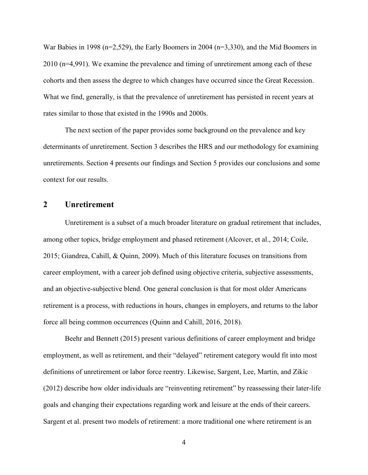War Babies in 1998 (n=2,529), the Early Boomers in 2004 (n=3,330), and the Mid Boomers in 2010 (n=4,991). We examine the prevalence and timing of unretirement among each of these cohorts and then assess the degree to which changes have occurred since the Great Recession. What we find, generally, is that the prevalence of unretirement has persisted in recent years at rates similar to those that existed in the 1990s and 2000s.

The next section of the paper provides some background on the prevalence and key determinants of unretirement. Section 3 describes the HRS and our methodology for examining unretirements. Section 4 presents our findings and Section 5 provides our conclusions and some context for our results.

## **2 Unretirement**

Unretirement is a subset of a much broader literature on gradual retirement that includes, among other topics, bridge employment and phased retirement (Alcover, et al., 2014; Coile, 2015; Giandrea, Cahill, & Quinn, 2009). Much of this literature focuses on transitions from career employment, with a career job defined using objective criteria, subjective assessments, and an objective-subjective blend. One general conclusion is that for most older Americans retirement is a process, with reductions in hours, changes in employers, and returns to the labor force all being common occurrences (Quinn and Cahill, 2016, 2018).

Beehr and Bennett (2015) present various definitions of career employment and bridge employment, as well as retirement, and their "delayed" retirement category would fit into most definitions of unretirement or labor force reentry. Likewise, Sargent, Lee, Martin, and Zikic (2012) describe how older individuals are "reinventing retirement" by reassessing their later-life goals and changing their expectations regarding work and leisure at the ends of their careers. Sargent et al. present two models of retirement: a more traditional one where retirement is an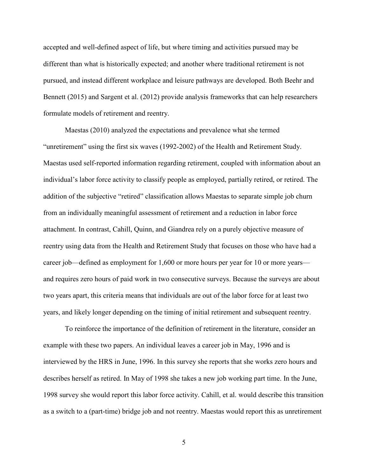accepted and well-defined aspect of life, but where timing and activities pursued may be different than what is historically expected; and another where traditional retirement is not pursued, and instead different workplace and leisure pathways are developed. Both Beehr and Bennett (2015) and Sargent et al. (2012) provide analysis frameworks that can help researchers formulate models of retirement and reentry.

Maestas (2010) analyzed the expectations and prevalence what she termed "unretirement" using the first six waves (1992-2002) of the Health and Retirement Study. Maestas used self-reported information regarding retirement, coupled with information about an individual's labor force activity to classify people as employed, partially retired, or retired. The addition of the subjective "retired" classification allows Maestas to separate simple job churn from an individually meaningful assessment of retirement and a reduction in labor force attachment. In contrast, Cahill, Quinn, and Giandrea rely on a purely objective measure of reentry using data from the Health and Retirement Study that focuses on those who have had a career job—defined as employment for 1,600 or more hours per year for 10 or more years and requires zero hours of paid work in two consecutive surveys. Because the surveys are about two years apart, this criteria means that individuals are out of the labor force for at least two years, and likely longer depending on the timing of initial retirement and subsequent reentry.

To reinforce the importance of the definition of retirement in the literature, consider an example with these two papers. An individual leaves a career job in May, 1996 and is interviewed by the HRS in June, 1996. In this survey she reports that she works zero hours and describes herself as retired. In May of 1998 she takes a new job working part time. In the June, 1998 survey she would report this labor force activity. Cahill, et al. would describe this transition as a switch to a (part-time) bridge job and not reentry. Maestas would report this as unretirement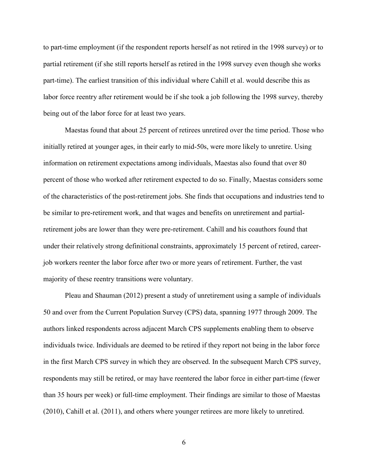to part-time employment (if the respondent reports herself as not retired in the 1998 survey) or to partial retirement (if she still reports herself as retired in the 1998 survey even though she works part-time). The earliest transition of this individual where Cahill et al. would describe this as labor force reentry after retirement would be if she took a job following the 1998 survey, thereby being out of the labor force for at least two years.

Maestas found that about 25 percent of retirees unretired over the time period. Those who initially retired at younger ages, in their early to mid-50s, were more likely to unretire. Using information on retirement expectations among individuals, Maestas also found that over 80 percent of those who worked after retirement expected to do so. Finally, Maestas considers some of the characteristics of the post-retirement jobs. She finds that occupations and industries tend to be similar to pre-retirement work, and that wages and benefits on unretirement and partialretirement jobs are lower than they were pre-retirement. Cahill and his coauthors found that under their relatively strong definitional constraints, approximately 15 percent of retired, careerjob workers reenter the labor force after two or more years of retirement. Further, the vast majority of these reentry transitions were voluntary.

Pleau and Shauman (2012) present a study of unretirement using a sample of individuals 50 and over from the Current Population Survey (CPS) data, spanning 1977 through 2009. The authors linked respondents across adjacent March CPS supplements enabling them to observe individuals twice. Individuals are deemed to be retired if they report not being in the labor force in the first March CPS survey in which they are observed. In the subsequent March CPS survey, respondents may still be retired, or may have reentered the labor force in either part-time (fewer than 35 hours per week) or full-time employment. Their findings are similar to those of Maestas (2010), Cahill et al. (2011), and others where younger retirees are more likely to unretired.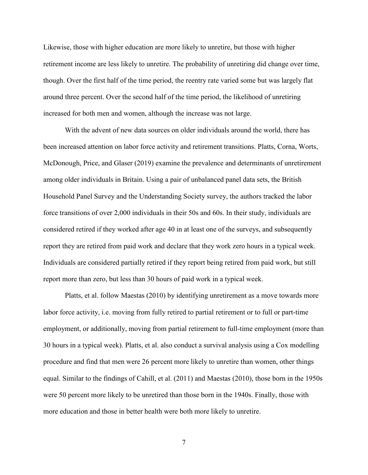Likewise, those with higher education are more likely to unretire, but those with higher retirement income are less likely to unretire. The probability of unretiring did change over time, though. Over the first half of the time period, the reentry rate varied some but was largely flat around three percent. Over the second half of the time period, the likelihood of unretiring increased for both men and women, although the increase was not large.

With the advent of new data sources on older individuals around the world, there has been increased attention on labor force activity and retirement transitions. Platts, Corna, Worts, McDonough, Price, and Glaser (2019) examine the prevalence and determinants of unretirement among older individuals in Britain. Using a pair of unbalanced panel data sets, the British Household Panel Survey and the Understanding Society survey, the authors tracked the labor force transitions of over 2,000 individuals in their 50s and 60s. In their study, individuals are considered retired if they worked after age 40 in at least one of the surveys, and subsequently report they are retired from paid work and declare that they work zero hours in a typical week. Individuals are considered partially retired if they report being retired from paid work, but still report more than zero, but less than 30 hours of paid work in a typical week.

Platts, et al. follow Maestas (2010) by identifying unretirement as a move towards more labor force activity, i.e. moving from fully retired to partial retirement or to full or part-time employment, or additionally, moving from partial retirement to full-time employment (more than 30 hours in a typical week). Platts, et al. also conduct a survival analysis using a Cox modelling procedure and find that men were 26 percent more likely to unretire than women, other things equal. Similar to the findings of Cahill, et al. (2011) and Maestas (2010), those born in the 1950s were 50 percent more likely to be unretired than those born in the 1940s. Finally, those with more education and those in better health were both more likely to unretire.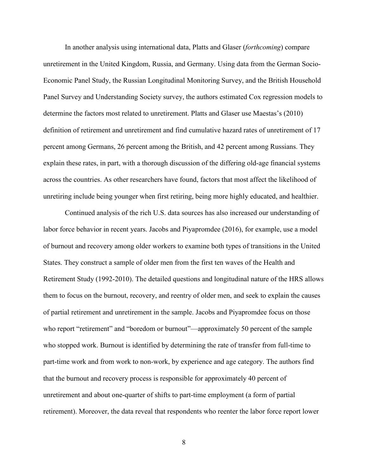In another analysis using international data, Platts and Glaser (*forthcoming*) compare unretirement in the United Kingdom, Russia, and Germany. Using data from the German Socio-Economic Panel Study, the Russian Longitudinal Monitoring Survey, and the British Household Panel Survey and Understanding Society survey, the authors estimated Cox regression models to determine the factors most related to unretirement. Platts and Glaser use Maestas's (2010) definition of retirement and unretirement and find cumulative hazard rates of unretirement of 17 percent among Germans, 26 percent among the British, and 42 percent among Russians. They explain these rates, in part, with a thorough discussion of the differing old-age financial systems across the countries. As other researchers have found, factors that most affect the likelihood of unretiring include being younger when first retiring, being more highly educated, and healthier.

Continued analysis of the rich U.S. data sources has also increased our understanding of labor force behavior in recent years. Jacobs and Piyapromdee (2016), for example, use a model of burnout and recovery among older workers to examine both types of transitions in the United States. They construct a sample of older men from the first ten waves of the Health and Retirement Study (1992-2010). The detailed questions and longitudinal nature of the HRS allows them to focus on the burnout, recovery, and reentry of older men, and seek to explain the causes of partial retirement and unretirement in the sample. Jacobs and Piyapromdee focus on those who report "retirement" and "boredom or burnout"—approximately 50 percent of the sample who stopped work. Burnout is identified by determining the rate of transfer from full-time to part-time work and from work to non-work, by experience and age category. The authors find that the burnout and recovery process is responsible for approximately 40 percent of unretirement and about one-quarter of shifts to part-time employment (a form of partial retirement). Moreover, the data reveal that respondents who reenter the labor force report lower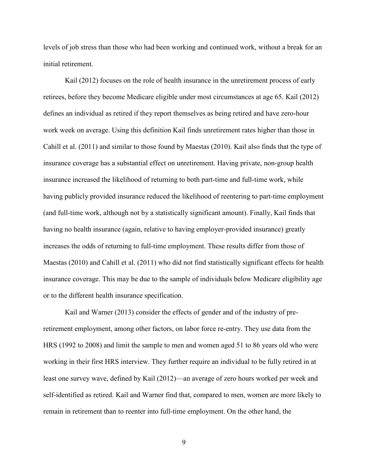levels of job stress than those who had been working and continued work, without a break for an initial retirement.

Kail (2012) focuses on the role of health insurance in the unretirement process of early retirees, before they become Medicare eligible under most circumstances at age 65. Kail (2012) defines an individual as retired if they report themselves as being retired and have zero-hour work week on average. Using this definition Kail finds unretirement rates higher than those in Cahill et al. (2011) and similar to those found by Maestas (2010). Kail also finds that the type of insurance coverage has a substantial effect on unretirement. Having private, non-group health insurance increased the likelihood of returning to both part-time and full-time work, while having publicly provided insurance reduced the likelihood of reentering to part-time employment (and full-time work, although not by a statistically significant amount). Finally, Kail finds that having no health insurance (again, relative to having employer-provided insurance) greatly increases the odds of returning to full-time employment. These results differ from those of Maestas (2010) and Cahill et al. (2011) who did not find statistically significant effects for health insurance coverage. This may be due to the sample of individuals below Medicare eligibility age or to the different health insurance specification.

Kail and Warner (2013) consider the effects of gender and of the industry of preretirement employment, among other factors, on labor force re-entry. They use data from the HRS (1992 to 2008) and limit the sample to men and women aged 51 to 86 years old who were working in their first HRS interview. They further require an individual to be fully retired in at least one survey wave, defined by Kail (2012)—an average of zero hours worked per week and self-identified as retired. Kail and Warner find that, compared to men, women are more likely to remain in retirement than to reenter into full-time employment. On the other hand, the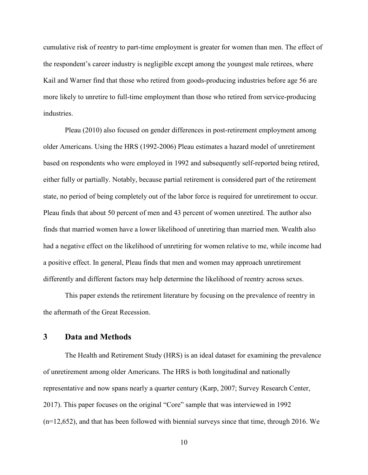cumulative risk of reentry to part-time employment is greater for women than men. The effect of the respondent's career industry is negligible except among the youngest male retirees, where Kail and Warner find that those who retired from goods-producing industries before age 56 are more likely to unretire to full-time employment than those who retired from service-producing industries.

Pleau (2010) also focused on gender differences in post-retirement employment among older Americans. Using the HRS (1992-2006) Pleau estimates a hazard model of unretirement based on respondents who were employed in 1992 and subsequently self-reported being retired, either fully or partially. Notably, because partial retirement is considered part of the retirement state, no period of being completely out of the labor force is required for unretirement to occur. Pleau finds that about 50 percent of men and 43 percent of women unretired. The author also finds that married women have a lower likelihood of unretiring than married men. Wealth also had a negative effect on the likelihood of unretiring for women relative to me, while income had a positive effect. In general, Pleau finds that men and women may approach unretirement differently and different factors may help determine the likelihood of reentry across sexes.

This paper extends the retirement literature by focusing on the prevalence of reentry in the aftermath of the Great Recession.

# **3 Data and Methods**

The Health and Retirement Study (HRS) is an ideal dataset for examining the prevalence of unretirement among older Americans. The HRS is both longitudinal and nationally representative and now spans nearly a quarter century (Karp, 2007; Survey Research Center, 2017). This paper focuses on the original "Core" sample that was interviewed in 1992 (n=12,652), and that has been followed with biennial surveys since that time, through 2016. We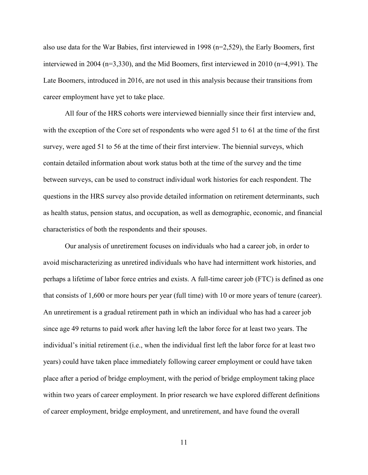also use data for the War Babies, first interviewed in 1998 (n=2,529), the Early Boomers, first interviewed in 2004 (n=3,330), and the Mid Boomers, first interviewed in 2010 (n=4,991). The Late Boomers, introduced in 2016, are not used in this analysis because their transitions from career employment have yet to take place.

All four of the HRS cohorts were interviewed biennially since their first interview and, with the exception of the Core set of respondents who were aged 51 to 61 at the time of the first survey, were aged 51 to 56 at the time of their first interview. The biennial surveys, which contain detailed information about work status both at the time of the survey and the time between surveys, can be used to construct individual work histories for each respondent. The questions in the HRS survey also provide detailed information on retirement determinants, such as health status, pension status, and occupation, as well as demographic, economic, and financial characteristics of both the respondents and their spouses.

Our analysis of unretirement focuses on individuals who had a career job, in order to avoid mischaracterizing as unretired individuals who have had intermittent work histories, and perhaps a lifetime of labor force entries and exists. A full-time career job (FTC) is defined as one that consists of 1,600 or more hours per year (full time) with 10 or more years of tenure (career). An unretirement is a gradual retirement path in which an individual who has had a career job since age 49 returns to paid work after having left the labor force for at least two years. The individual's initial retirement (i.e., when the individual first left the labor force for at least two years) could have taken place immediately following career employment or could have taken place after a period of bridge employment, with the period of bridge employment taking place within two years of career employment. In prior research we have explored different definitions of career employment, bridge employment, and unretirement, and have found the overall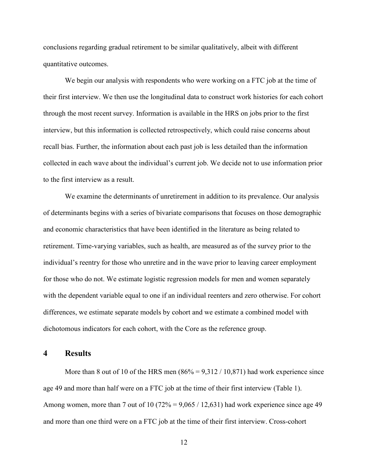conclusions regarding gradual retirement to be similar qualitatively, albeit with different quantitative outcomes.

We begin our analysis with respondents who were working on a FTC job at the time of their first interview. We then use the longitudinal data to construct work histories for each cohort through the most recent survey. Information is available in the HRS on jobs prior to the first interview, but this information is collected retrospectively, which could raise concerns about recall bias. Further, the information about each past job is less detailed than the information collected in each wave about the individual's current job. We decide not to use information prior to the first interview as a result.

We examine the determinants of unretirement in addition to its prevalence. Our analysis of determinants begins with a series of bivariate comparisons that focuses on those demographic and economic characteristics that have been identified in the literature as being related to retirement. Time-varying variables, such as health, are measured as of the survey prior to the individual's reentry for those who unretire and in the wave prior to leaving career employment for those who do not. We estimate logistic regression models for men and women separately with the dependent variable equal to one if an individual reenters and zero otherwise. For cohort differences, we estimate separate models by cohort and we estimate a combined model with dichotomous indicators for each cohort, with the Core as the reference group.

## **4 Results**

More than 8 out of 10 of the HRS men  $(86\% = 9,312 / 10,871)$  had work experience since age 49 and more than half were on a FTC job at the time of their first interview (Table 1). Among women, more than 7 out of 10 (72% =  $9,065 / 12,631$ ) had work experience since age 49 and more than one third were on a FTC job at the time of their first interview. Cross-cohort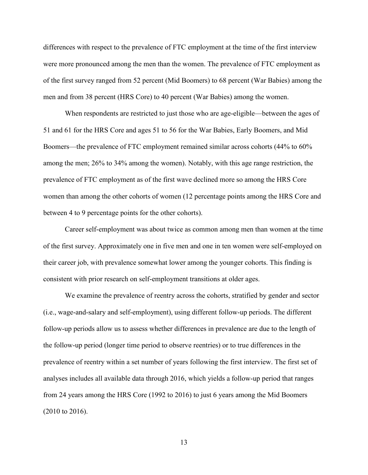differences with respect to the prevalence of FTC employment at the time of the first interview were more pronounced among the men than the women. The prevalence of FTC employment as of the first survey ranged from 52 percent (Mid Boomers) to 68 percent (War Babies) among the men and from 38 percent (HRS Core) to 40 percent (War Babies) among the women.

When respondents are restricted to just those who are age-eligible—between the ages of 51 and 61 for the HRS Core and ages 51 to 56 for the War Babies, Early Boomers, and Mid Boomers—the prevalence of FTC employment remained similar across cohorts (44% to 60% among the men; 26% to 34% among the women). Notably, with this age range restriction, the prevalence of FTC employment as of the first wave declined more so among the HRS Core women than among the other cohorts of women (12 percentage points among the HRS Core and between 4 to 9 percentage points for the other cohorts).

Career self-employment was about twice as common among men than women at the time of the first survey. Approximately one in five men and one in ten women were self-employed on their career job, with prevalence somewhat lower among the younger cohorts. This finding is consistent with prior research on self-employment transitions at older ages.

We examine the prevalence of reentry across the cohorts, stratified by gender and sector (i.e., wage-and-salary and self-employment), using different follow-up periods. The different follow-up periods allow us to assess whether differences in prevalence are due to the length of the follow-up period (longer time period to observe reentries) or to true differences in the prevalence of reentry within a set number of years following the first interview. The first set of analyses includes all available data through 2016, which yields a follow-up period that ranges from 24 years among the HRS Core (1992 to 2016) to just 6 years among the Mid Boomers (2010 to 2016).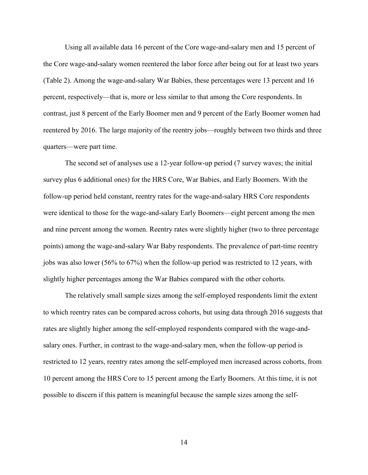Using all available data 16 percent of the Core wage-and-salary men and 15 percent of the Core wage-and-salary women reentered the labor force after being out for at least two years (Table 2). Among the wage-and-salary War Babies, these percentages were 13 percent and 16 percent, respectively—that is, more or less similar to that among the Core respondents. In contrast, just 8 percent of the Early Boomer men and 9 percent of the Early Boomer women had reentered by 2016. The large majority of the reentry jobs—roughly between two thirds and three quarters—were part time.

The second set of analyses use a 12-year follow-up period (7 survey waves; the initial survey plus 6 additional ones) for the HRS Core, War Babies, and Early Boomers. With the follow-up period held constant, reentry rates for the wage-and-salary HRS Core respondents were identical to those for the wage-and-salary Early Boomers—eight percent among the men and nine percent among the women. Reentry rates were slightly higher (two to three percentage points) among the wage-and-salary War Baby respondents. The prevalence of part-time reentry jobs was also lower (56% to 67%) when the follow-up period was restricted to 12 years, with slightly higher percentages among the War Babies compared with the other cohorts.

The relatively small sample sizes among the self-employed respondents limit the extent to which reentry rates can be compared across cohorts, but using data through 2016 suggests that rates are slightly higher among the self-employed respondents compared with the wage-andsalary ones. Further, in contrast to the wage-and-salary men, when the follow-up period is restricted to 12 years, reentry rates among the self-employed men increased across cohorts, from 10 percent among the HRS Core to 15 percent among the Early Boomers. At this time, it is not possible to discern if this pattern is meaningful because the sample sizes among the self-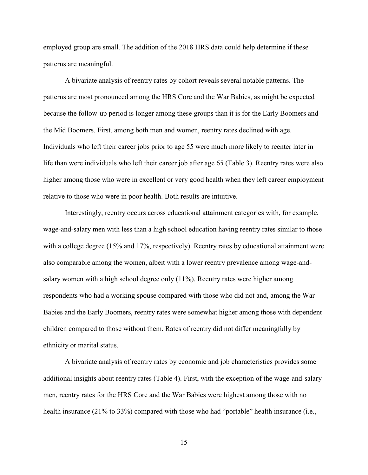employed group are small. The addition of the 2018 HRS data could help determine if these patterns are meaningful.

A bivariate analysis of reentry rates by cohort reveals several notable patterns. The patterns are most pronounced among the HRS Core and the War Babies, as might be expected because the follow-up period is longer among these groups than it is for the Early Boomers and the Mid Boomers. First, among both men and women, reentry rates declined with age. Individuals who left their career jobs prior to age 55 were much more likely to reenter later in life than were individuals who left their career job after age 65 (Table 3). Reentry rates were also higher among those who were in excellent or very good health when they left career employment relative to those who were in poor health. Both results are intuitive.

Interestingly, reentry occurs across educational attainment categories with, for example, wage-and-salary men with less than a high school education having reentry rates similar to those with a college degree (15% and 17%, respectively). Reentry rates by educational attainment were also comparable among the women, albeit with a lower reentry prevalence among wage-andsalary women with a high school degree only (11%). Reentry rates were higher among respondents who had a working spouse compared with those who did not and, among the War Babies and the Early Boomers, reentry rates were somewhat higher among those with dependent children compared to those without them. Rates of reentry did not differ meaningfully by ethnicity or marital status.

A bivariate analysis of reentry rates by economic and job characteristics provides some additional insights about reentry rates (Table 4). First, with the exception of the wage-and-salary men, reentry rates for the HRS Core and the War Babies were highest among those with no health insurance (21% to 33%) compared with those who had "portable" health insurance (i.e.,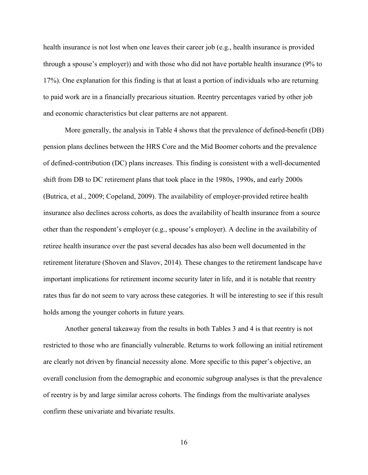health insurance is not lost when one leaves their career job (e.g., health insurance is provided through a spouse's employer)) and with those who did not have portable health insurance (9% to 17%). One explanation for this finding is that at least a portion of individuals who are returning to paid work are in a financially precarious situation. Reentry percentages varied by other job and economic characteristics but clear patterns are not apparent.

More generally, the analysis in Table 4 shows that the prevalence of defined-benefit (DB) pension plans declines between the HRS Core and the Mid Boomer cohorts and the prevalence of defined-contribution (DC) plans increases. This finding is consistent with a well-documented shift from DB to DC retirement plans that took place in the 1980s, 1990s, and early 2000s (Butrica, et al., 2009; Copeland, 2009). The availability of employer-provided retiree health insurance also declines across cohorts, as does the availability of health insurance from a source other than the respondent's employer (e.g., spouse's employer). A decline in the availability of retiree health insurance over the past several decades has also been well documented in the retirement literature (Shoven and Slavov, 2014). These changes to the retirement landscape have important implications for retirement income security later in life, and it is notable that reentry rates thus far do not seem to vary across these categories. It will be interesting to see if this result holds among the younger cohorts in future years.

Another general takeaway from the results in both Tables 3 and 4 is that reentry is not restricted to those who are financially vulnerable. Returns to work following an initial retirement are clearly not driven by financial necessity alone. More specific to this paper's objective, an overall conclusion from the demographic and economic subgroup analyses is that the prevalence of reentry is by and large similar across cohorts. The findings from the multivariate analyses confirm these univariate and bivariate results.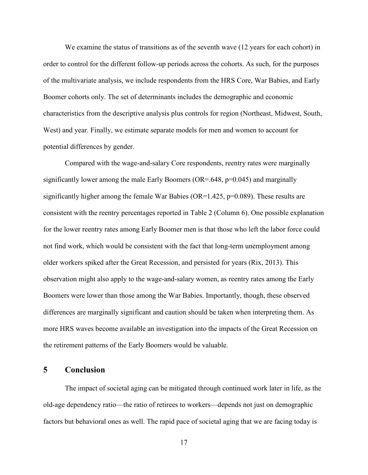We examine the status of transitions as of the seventh wave (12 years for each cohort) in order to control for the different follow-up periods across the cohorts. As such, for the purposes of the multivariate analysis, we include respondents from the HRS Core, War Babies, and Early Boomer cohorts only. The set of determinants includes the demographic and economic characteristics from the descriptive analysis plus controls for region (Northeast, Midwest, South, West) and year. Finally, we estimate separate models for men and women to account for potential differences by gender.

Compared with the wage-and-salary Core respondents, reentry rates were marginally significantly lower among the male Early Boomers (OR=.648, p=0.045) and marginally significantly higher among the female War Babies ( $OR=1.425$ ,  $p=0.089$ ). These results are consistent with the reentry percentages reported in Table 2 (Column 6). One possible explanation for the lower reentry rates among Early Boomer men is that those who left the labor force could not find work, which would be consistent with the fact that long-term unemployment among older workers spiked after the Great Recession, and persisted for years (Rix, 2013). This observation might also apply to the wage-and-salary women, as reentry rates among the Early Boomers were lower than those among the War Babies. Importantly, though, these observed differences are marginally significant and caution should be taken when interpreting them. As more HRS waves become available an investigation into the impacts of the Great Recession on the retirement patterns of the Early Boomers would be valuable.

## **5 Conclusion**

The impact of societal aging can be mitigated through continued work later in life, as the old-age dependency ratio—the ratio of retirees to workers—depends not just on demographic factors but behavioral ones as well. The rapid pace of societal aging that we are facing today is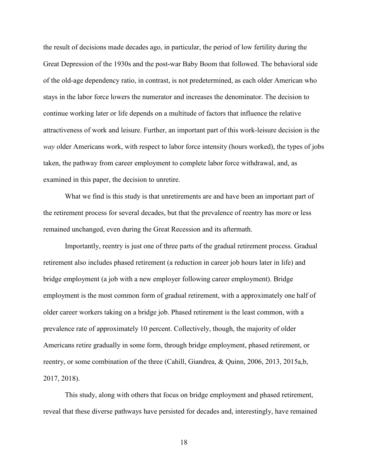the result of decisions made decades ago, in particular, the period of low fertility during the Great Depression of the 1930s and the post-war Baby Boom that followed. The behavioral side of the old-age dependency ratio, in contrast, is not predetermined, as each older American who stays in the labor force lowers the numerator and increases the denominator. The decision to continue working later or life depends on a multitude of factors that influence the relative attractiveness of work and leisure. Further, an important part of this work-leisure decision is the *way* older Americans work, with respect to labor force intensity (hours worked), the types of jobs taken, the pathway from career employment to complete labor force withdrawal, and, as examined in this paper, the decision to unretire.

What we find is this study is that unretirements are and have been an important part of the retirement process for several decades, but that the prevalence of reentry has more or less remained unchanged, even during the Great Recession and its aftermath.

Importantly, reentry is just one of three parts of the gradual retirement process. Gradual retirement also includes phased retirement (a reduction in career job hours later in life) and bridge employment (a job with a new employer following career employment). Bridge employment is the most common form of gradual retirement, with a approximately one half of older career workers taking on a bridge job. Phased retirement is the least common, with a prevalence rate of approximately 10 percent. Collectively, though, the majority of older Americans retire gradually in some form, through bridge employment, phased retirement, or reentry, or some combination of the three (Cahill, Giandrea, & Quinn, 2006, 2013, 2015a,b, 2017, 2018).

This study, along with others that focus on bridge employment and phased retirement, reveal that these diverse pathways have persisted for decades and, interestingly, have remained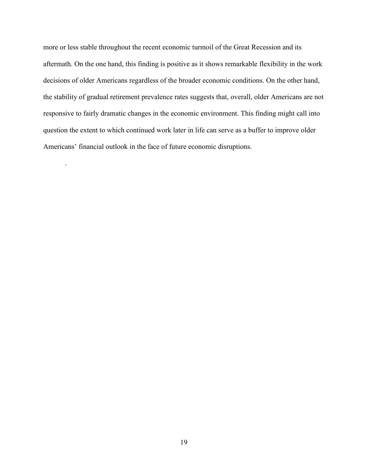more or less stable throughout the recent economic turmoil of the Great Recession and its aftermath. On the one hand, this finding is positive as it shows remarkable flexibility in the work decisions of older Americans regardless of the broader economic conditions. On the other hand, the stability of gradual retirement prevalence rates suggests that, overall, older Americans are not responsive to fairly dramatic changes in the economic environment. This finding might call into question the extent to which continued work later in life can serve as a buffer to improve older Americans' financial outlook in the face of future economic disruptions.

.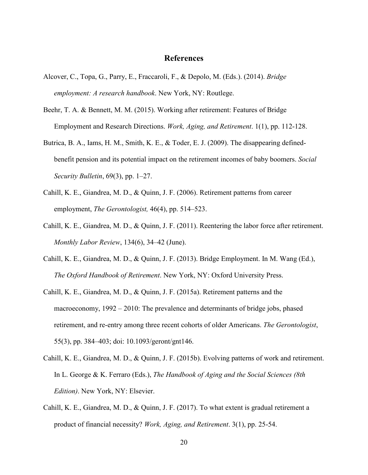# **References**

- Alcover, C., Topa, G., Parry, E., Fraccaroli, F., & Depolo, M. (Eds.). (2014). *Bridge employment: A research handbook*. New York, NY: Routlege.
- Beehr, T. A. & Bennett, M. M. (2015). Working after retirement: Features of Bridge Employment and Research Directions. *Work, Aging, and Retirement*. 1(1), pp. 112-128.
- Butrica, B. A., Iams, H. M., Smith, K. E., & Toder, E. J. (2009). The disappearing definedbenefit pension and its potential impact on the retirement incomes of baby boomers. *Social Security Bulletin*, 69(3), pp. 1–27.
- Cahill, K. E., Giandrea, M. D., & Quinn, J. F. (2006). Retirement patterns from career employment, *The Gerontologist,* 46(4), pp. 514–523.
- Cahill, K. E., Giandrea, M. D., & Quinn, J. F. (2011). Reentering the labor force after retirement. *Monthly Labor Review*, 134(6), 34–42 (June).
- Cahill, K. E., Giandrea, M. D., & Quinn, J. F. (2013). Bridge Employment. In M. Wang (Ed.), *The Oxford Handbook of Retirement*. New York, NY: Oxford University Press.
- Cahill, K. E., Giandrea, M. D., & Quinn, J. F. (2015a). Retirement patterns and the macroeconomy, 1992 – 2010: The prevalence and determinants of bridge jobs, phased retirement, and re-entry among three recent cohorts of older Americans. *The Gerontologist*, 55(3), pp. 384–403; doi: 10.1093/geront/gnt146.
- Cahill, K. E., Giandrea, M. D., & Quinn, J. F. (2015b). Evolving patterns of work and retirement. In L. George & K. Ferraro (Eds.), *The Handbook of Aging and the Social Sciences (8th Edition)*. New York, NY: Elsevier.
- Cahill, K. E., Giandrea, M. D., & Quinn, J. F. (2017). To what extent is gradual retirement a product of financial necessity? *Work, Aging, and Retirement*. 3(1), pp. 25-54.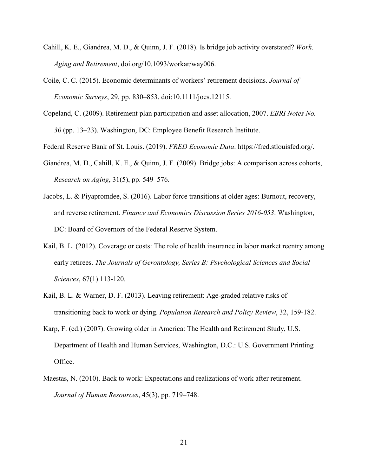- Cahill, K. E., Giandrea, M. D., & Quinn, J. F. (2018). Is bridge job activity overstated? *Work, Aging and Retirement*, doi.org/10.1093/workar/way006.
- Coile, C. C. (2015). Economic determinants of workers' retirement decisions. *Journal of Economic Surveys*, 29, pp. 830–853. doi:10.1111/joes.12115.
- Copeland, C. (2009). Retirement plan participation and asset allocation, 2007. *EBRI Notes No. 30* (pp. 13–23). Washington, DC: Employee Benefit Research Institute.

Federal Reserve Bank of St. Louis. (2019). *FRED Economic Data*. [https://fred.stlouisfed.org/.](https://fred.stlouisfed.org/)

- Giandrea, M. D., Cahill, K. E., & Quinn, J. F. (2009). Bridge jobs: A comparison across cohorts, *Research on Aging*, 31(5), pp. 549–576.
- Jacobs, L. & Piyapromdee, S. (2016). Labor force transitions at older ages: Burnout, recovery, and reverse retirement. *Finance and Economics Discussion Series 2016-053*. Washington, DC: Board of Governors of the Federal Reserve System.
- Kail, B. L. (2012). Coverage or costs: The role of health insurance in labor market reentry among early retirees. *The Journals of Gerontology, Series B: Psychological Sciences and Social Sciences*, 67(1) 113-120.
- Kail, B. L. & Warner, D. F. (2013). Leaving retirement: Age-graded relative risks of transitioning back to work or dying. *Population Research and Policy Review*, 32, 159-182.
- Karp, F. (ed.) (2007). Growing older in America: The Health and Retirement Study, U.S. Department of Health and Human Services, Washington, D.C.: U.S. Government Printing Office.
- Maestas, N. (2010). Back to work: Expectations and realizations of work after retirement. *Journal of Human Resources*, 45(3), pp. 719–748.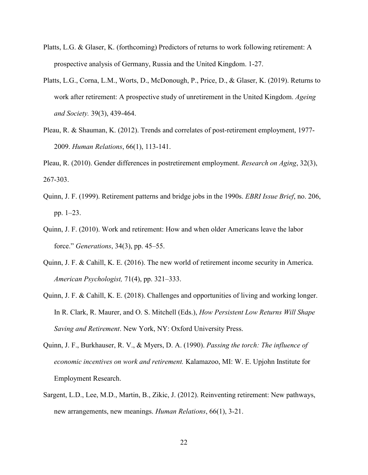- Platts, L.G. & Glaser, K. (forthcoming) Predictors of returns to work following retirement: A prospective analysis of Germany, Russia and the United Kingdom. 1-27.
- Platts, L.G., Corna, L.M., Worts, D., McDonough, P., Price, D., & Glaser, K. (2019). Returns to work after retirement: A prospective study of unretirement in the United Kingdom. *Ageing and Society.* 39(3), 439-464.
- Pleau, R. & Shauman, K. (2012). Trends and correlates of post-retirement employment, 1977- 2009. *Human Relations*, 66(1), 113-141.
- Pleau, R. (2010). Gender differences in postretirement employment. *Research on Aging*, 32(3), 267-303.
- Quinn, J. F. (1999). Retirement patterns and bridge jobs in the 1990s. *EBRI Issue Brief*, no. 206, pp. 1–23.
- Quinn, J. F. (2010). Work and retirement: How and when older Americans leave the labor force." *Generations*, 34(3), pp. 45–55.
- Quinn, J. F. & Cahill, K. E. (2016). The new world of retirement income security in America. *American Psychologist,* 71(4), pp. 321–333.
- Quinn, J. F. & Cahill, K. E. (2018). Challenges and opportunities of living and working longer. In R. Clark, R. Maurer, and O. S. Mitchell (Eds.), *How Persistent Low Returns Will Shape Saving and Retirement*. New York, NY: Oxford University Press.
- Quinn, J. F., Burkhauser, R. V., & Myers, D. A. (1990). *Passing the torch: The influence of economic incentives on work and retirement.* Kalamazoo, MI: W. E. Upjohn Institute for Employment Research.
- Sargent, L.D., Lee, M.D., Martin, B., Zikic, J. (2012). Reinventing retirement: New pathways, new arrangements, new meanings. *Human Relations*, 66(1), 3-21.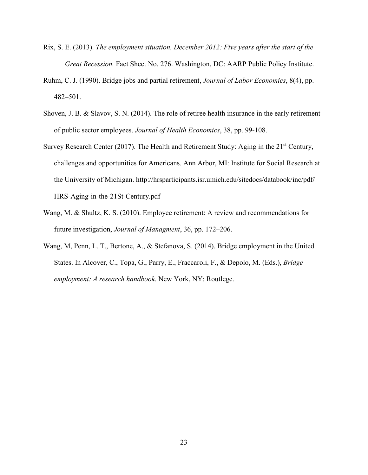- Rix, S. E. (2013). *The employment situation, December 2012: Five years after the start of the Great Recession.* Fact Sheet No. 276. Washington, DC: AARP Public Policy Institute.
- Ruhm, C. J. (1990). Bridge jobs and partial retirement, *Journal of Labor Economics*, 8(4), pp. 482–501.
- Shoven, J. B. & Slavov, S. N. (2014). The role of retiree health insurance in the early retirement of public sector employees. *Journal of Health Economics*, 38, pp. 99-108.
- Survey Research Center (2017). The Health and Retirement Study: Aging in the 21<sup>st</sup> Century, challenges and opportunities for Americans. Ann Arbor, MI: Institute for Social Research at the University of Michigan.<http://hrsparticipants.isr.umich.edu/sitedocs/databook/inc/pdf/> HRS-Aging-in-the-21St-Century.pdf
- Wang, M. & Shultz, K. S. (2010). Employee retirement: A review and recommendations for future investigation, *Journal of Managment*, 36, pp. 172–206.
- Wang, M, Penn, L. T., Bertone, A., & Stefanova, S. (2014). Bridge employment in the United States. In Alcover, C., Topa, G., Parry, E., Fraccaroli, F., & Depolo, M. (Eds.), *Bridge employment: A research handbook*. New York, NY: Routlege.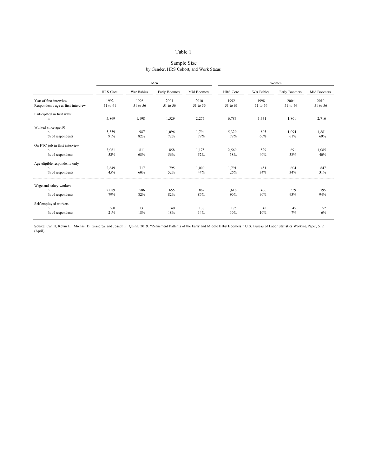#### Sample Size by Gender, HRS Cohort, and Work Status

|                                     |          |            | Men           |             | Women    |            |               |             |  |  |  |
|-------------------------------------|----------|------------|---------------|-------------|----------|------------|---------------|-------------|--|--|--|
|                                     | HRS Core | War Babies | Early Boomers | Mid Boomers | HRS Core | War Babies | Early Boomers | Mid Boomers |  |  |  |
| Year of first interview             | 1992     | 1998       | 2004          | 2010        | 1992     | 1998       | 2004          | 2010        |  |  |  |
| Respondent's age at first interview | 51 to 61 | 51 to 56   | 51 to 56      | 51 to 56    | 51 to 61 | 51 to 56   | 51 to 56      | 51 to 56    |  |  |  |
| Participated in first wave          |          |            |               |             |          |            |               |             |  |  |  |
| n                                   | 5,869    | 1,198      | 1,529         | 2,275       | 6,783    | 1,331      | 1,801         | 2,716       |  |  |  |
| Worked since age 50                 |          |            |               |             |          |            |               |             |  |  |  |
| n                                   | 5,359    | 987        | 1,096         | 1,794       | 5,320    | 805        | 1,094         | 1,881       |  |  |  |
| % of respondents                    | 91%      | 82%        | 72%           | 79%         | 78%      | 60%        | 61%           | 69%         |  |  |  |
| On FTC job in first interview       |          |            |               |             |          |            |               |             |  |  |  |
| n                                   | 3,061    | 811        | 858           | 1,175       | 2,569    | 529        | 691           | 1,085       |  |  |  |
| % of respondents                    | 52%      | 68%        | 56%           | 52%         | 38%      | 40%        | 38%           | 40%         |  |  |  |
| Age-eligible respondents only       |          |            |               |             |          |            |               |             |  |  |  |
| n                                   | 2,649    | 717        | 795           | 1,000       | 1,791    | 451        | 604           | 847         |  |  |  |
| % of respondents                    | 45%      | 60%        | 52%           | 44%         | 26%      | 34%        | 34%           | 31%         |  |  |  |
|                                     |          |            |               |             |          |            |               |             |  |  |  |
| Wage-and-salary workers<br>n        | 2,089    | 586        | 655           | 862         | 1,616    | 406        | 559           | 795         |  |  |  |
| % of respondents                    | 79%      | 82%        | 82%           | 86%         | 90%      | 90%        | 93%           | 94%         |  |  |  |
|                                     |          |            |               |             |          |            |               |             |  |  |  |
| Self-employed workers               |          |            |               |             |          |            |               |             |  |  |  |
| n                                   | 560      | 131        | 140           | 138         | 175      | 45         | 45            | 52          |  |  |  |
| % of respondents                    | 21%      | 18%        | 18%           | 14%         | 10%      | 10%        | 7%            | 6%          |  |  |  |
|                                     |          |            |               |             |          |            |               |             |  |  |  |

Source: Cahill, Kevin E., Michael D. Giandrea, and Joseph F. Quinn. 2019. "Retirement Patterns of the Early and Middle Baby Boomers." U.S. Bureau of Labor Statistics Working Paper, 512 (April).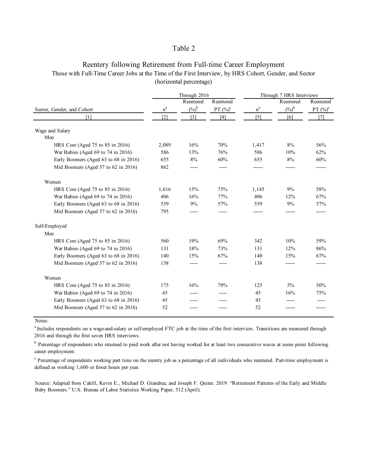# Reentery following Retirement from Full-time Career Employment Those with Full-Time Career Jobs at the Time of the First Interview, by HRS Cohort, Gender, and Sector (horizontal percentage)

|                                       |       | Through 2016      |             | Through 7 HRS Interviews |                |             |  |  |
|---------------------------------------|-------|-------------------|-------------|--------------------------|----------------|-------------|--|--|
|                                       |       | Reentered         | Reentered   |                          | Reentered      | Reentered   |  |  |
| Sector, Gender, and Cohort            | $n^a$ | $(\%)^b$          | PT $(\%)^c$ | $\rm n^a$                | $(\%)^{\flat}$ | PT $(\%)^c$ |  |  |
| [1]                                   | [2]   | $\lceil 3 \rceil$ | [4]         | $\lceil 5 \rceil$        | [6]            | [7]         |  |  |
| Wage and Salary                       |       |                   |             |                          |                |             |  |  |
| Men                                   |       |                   |             |                          |                |             |  |  |
| HRS Core (Aged 75 to 85 in 2016)      | 2,089 | 16%               | 70%         | 1,417                    | $8\%$          | 56%         |  |  |
| War Babies (Aged 69 to 74 in 2016)    | 586   | 13%               | 76%         | 586                      | 10%            | 62%         |  |  |
| Early Boomers (Aged 63 to 68 in 2016) | 655   | 8%                | 60%         | 655                      | 8%             | 60%         |  |  |
| Mid Boomers (Aged 57 to 62 in 2016)   | 862   |                   |             |                          |                |             |  |  |
| Women                                 |       |                   |             |                          |                |             |  |  |
| HRS Core (Aged 75 to 85 in 2016)      | 1,616 | 15%               | 75%         | 1,145                    | 9%             | 58%         |  |  |
| War Babies (Aged 69 to 74 in 2016)    | 406   | 16%               | 77%         | 406                      | 12%            | 67%         |  |  |
| Early Boomers (Aged 63 to 68 in 2016) | 559   | 9%                | 57%         | 559                      | 9%             | 57%         |  |  |
| Mid Boomers (Aged 57 to 62 in 2016)   | 795   |                   |             |                          |                |             |  |  |
| Self-Employed                         |       |                   |             |                          |                |             |  |  |
| Men                                   |       |                   |             |                          |                |             |  |  |
| HRS Core (Aged 75 to 85 in 2016)      | 560   | 19%               | 69%         | 342                      | 10%            | 59%         |  |  |
| War Babies (Aged 69 to 74 in 2016)    | 131   | 18%               | 73%         | 131                      | 12%            | 86%         |  |  |
| Early Boomers (Aged 63 to 68 in 2016) | 140   | 15%               | 67%         | 140                      | 15%            | 67%         |  |  |
| Mid Boomers (Aged 57 to 62 in 2016)   | 138   |                   |             | 138                      |                |             |  |  |
| Women                                 |       |                   |             |                          |                |             |  |  |
| HRS Core (Aged 75 to 85 in 2016)      | 175   | 16%               | 79%         | 125                      | 5%             | 50%         |  |  |
| War Babies (Aged 69 to 74 in 2016)    | 45    |                   |             | 45                       | 16%            | 75%         |  |  |
| Early Boomers (Aged 63 to 68 in 2016) | 45    |                   |             | 45                       |                |             |  |  |
| Mid Boomers (Aged 57 to 62 in 2016)   | 52    |                   |             | 52                       |                |             |  |  |

Notes:

<sup>a</sup> Includes respondents on a wage-and-salary or self-employed FTC job at the time of the first interview. Transitions are measured through 2016 and through the first seven HRS interviews.

<sup>b</sup> Percentage of respondents who returned to paid work after not having worked for at least two consecutive waves at some point following career employment.

<sup>c</sup> Percentage of respondents working part time on the reentry job as a percentage of all individuals who reentered. Part-time employment is defined as working 1,600 or fewer hours per year.

Source: Adapted from Cahill, Kevin E., Michael D. Giandrea, and Joseph F. Quinn. 2019. "Retirement Patterns of the Early and Middle Baby Boomers." U.S. Bureau of Labor Statistics Working Paper, 512 (April).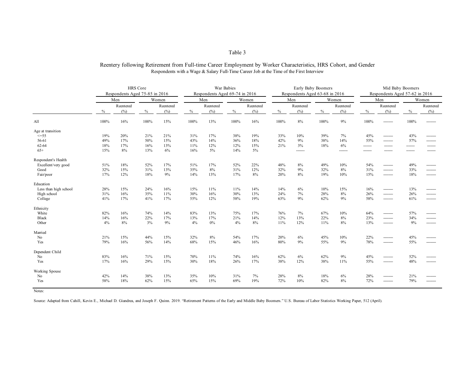## Reentery following Retirement from Full-time Career Employment by Worker Characteristics, HRS Cohort, and Gender Respondents with a Wage & Salary Full-Time Career Job at the Time of the First Interview

|                       | <b>HRS</b> Core |                                |      | War Babies |        |                                |      | Early Baby Boomers |                                |           |      | Mid Baby Boomers |                                |           |         |           |  |       |
|-----------------------|-----------------|--------------------------------|------|------------|--------|--------------------------------|------|--------------------|--------------------------------|-----------|------|------------------|--------------------------------|-----------|---------|-----------|--|-------|
|                       |                 | Respondents Aged 75-85 in 2016 |      |            |        | Respondents Aged 69-74 in 2016 |      |                    | Respondents Aged 63-68 in 2016 |           |      |                  | Respondents Aged 57-62 in 2016 |           |         |           |  |       |
|                       |                 | Men                            |      |            |        | Women                          |      | Men                |                                | Women     |      | Men              |                                | Women     |         | Men       |  | Women |
|                       |                 | Reentered                      |      | Reentered  |        | Reentered                      |      | Reentered          |                                | Reentered |      | Reentered        |                                | Reentered |         | Reentered |  |       |
|                       | $\%$            | (%)                            | $\%$ | (%)        | $\%$   | (%)                            | $\%$ | (%)                | $\%$                           | (%)       | $\%$ | (%)              | $\%$                           | (%)       | $\%$    | (%)       |  |       |
| All                   | 100%            | 16%                            | 100% | 15%        | 100%   | 13%                            | 100% | 16%                | 100%                           | 8%        | 100% | 9%               | 100%                           |           | 100%    |           |  |       |
| Age at transition     |                 |                                |      |            |        |                                |      |                    |                                |           |      |                  |                                |           |         |           |  |       |
| $\leq$ = 55           | 19%             | 20%                            | 21%  | 21%        | 31%    | 17%                            | 38%  | 19%                | 33%                            | 10%       | 39%  | 7%               | 45%                            |           | 43%     |           |  |       |
| 56-61                 | 49%             | 17%                            | 50%  | 15%        | 43%    | 14%                            | 36%  | 18%                | 42%                            | 9%        | 38%  | 14%              | 55%                            | --------  | 57%     | --------  |  |       |
| 62-64                 | 18%             | 17%                            | 16%  | 13%        | $11\%$ | 12%                            | 12%  | 15%                | 21%                            | 3%        | 18%  | 6%               | -------                        | -------   | ------- | -------   |  |       |
| $65+$                 | 15%             | 8%                             | 13%  | 6%         | 16%    | $5\%$                          | 14%  | $5\%$              |                                | -------   |      | -------          |                                |           |         |           |  |       |
| Respondent's Health   |                 |                                |      |            |        |                                |      |                    |                                |           |      |                  |                                |           |         |           |  |       |
| Excellent/very good   | 51%             | 18%                            | 52%  | 17%        | 51%    | 17%                            | 52%  | 22%                | 48%                            | 8%        | 49%  | 10%              | 54%                            | --------  | 49%     |           |  |       |
| Good                  | 32%             | 15%                            | 31%  | 13%        | 35%    | 8%                             | 31%  | 12%                | 32%                            | 9%        | 32%  | 8%               | 31%                            | --------  | 33%     |           |  |       |
| Fair/poor             | 17%             | 12%                            | 18%  | 9%         | 14%    | 13%                            | 17%  | 8%                 | 20%                            | 8%        | 19%  | 10%              | 15%                            | --------  | 18%     |           |  |       |
| Education             |                 |                                |      |            |        |                                |      |                    |                                |           |      |                  |                                |           |         |           |  |       |
| Less than high school | 28%             | 15%                            | 24%  | 16%        | 15%    | 11%                            | 11%  | 14%                | 14%                            | 6%        | 10%  | 15%              | 16%                            | --------  | 13%     |           |  |       |
| High school           | 31%             | 16%                            | 35%  | 11%        | 30%    | 16%                            | 30%  | 13%                | 24%                            | 7%        | 28%  | $8\%$            | 26%                            |           | 26%     |           |  |       |
| College               | 41%             | 17%                            | 41%  | 17%        | 55%    | 12%                            | 58%  | 19%                | 63%                            | 9%        | 62%  | 9%               | 58%                            | --------  | 61%     |           |  |       |
| Ethnicity             |                 |                                |      |            |        |                                |      |                    |                                |           |      |                  |                                |           |         |           |  |       |
| White                 | 82%             | 16%                            | 74%  | 14%        | 83%    | 13%                            | 75%  | 17%                | 76%                            | 7%        | 67%  | 10%              | 64%                            |           | 57%     |           |  |       |
| <b>Black</b>          | 14%             | 16%                            | 22%  | 17%        | 13%    | 17%                            | 21%  | 14%                | 12%                            | 13%       | 22%  | $8\%$            | 23%                            | -------   | 34%     |           |  |       |
| Other                 | 4%              | 8%                             | 3%   | 9%         | 4%     | $0\%$                          | 4%   | 8%                 | 11%                            | 12%       | 11%  | 8%               | 13%                            | --------  | 9%      |           |  |       |
| Married               |                 |                                |      |            |        |                                |      |                    |                                |           |      |                  |                                |           |         |           |  |       |
| No                    | 21%             | 15%                            | 44%  | 15%        | 32%    | 8%                             | 54%  | 17%                | 20%                            | 6%        | 45%  | 10%              | 22%                            |           | 45%     |           |  |       |
| Yes                   | 79%             | 16%                            | 56%  | 14%        | 68%    | 15%                            | 46%  | 16%                | 80%                            | 9%        | 55%  | $9\%$            | 78%                            |           | 55%     |           |  |       |
| Dependent Child       |                 |                                |      |            |        |                                |      |                    |                                |           |      |                  |                                |           |         |           |  |       |
| No                    | 83%             | 16%                            | 71%  | 15%        | 70%    | 11%                            | 74%  | 16%                | 62%                            | 6%        | 62%  | 9%               | 45%                            |           | 52%     |           |  |       |
| Yes                   | 17%             | 16%                            | 29%  | 15%        | 30%    | 18%                            | 26%  | 17%                | 38%                            | 12%       | 38%  | 11%              | 55%                            | --------  | 48%     |           |  |       |
| Working Spouse        |                 |                                |      |            |        |                                |      |                    |                                |           |      |                  |                                |           |         |           |  |       |
| No                    | 42%             | 14%                            | 38%  | 13%        | 35%    | 10%                            | 31%  | 7%                 | 28%                            | 8%        | 18%  | 6%               | 28%                            | --------  | 21%     |           |  |       |
| Yes                   | 58%             | 18%                            | 62%  | 15%        | 65%    | 15%                            | 69%  | 19%                | 72%                            | 10%       | 82%  | 8%               | 72%                            | --------  | 79%     |           |  |       |
|                       |                 |                                |      |            |        |                                |      |                    |                                |           |      |                  |                                |           |         |           |  |       |

Notes:

Source: Adapted from Cahill, Kevin E., Michael D. Giandrea, and Joseph F. Quinn. 2019. "Retirement Patterns of the Early and Middle Baby Boomers." U.S. Bureau of Labor Statistics Working Paper, 512 (April).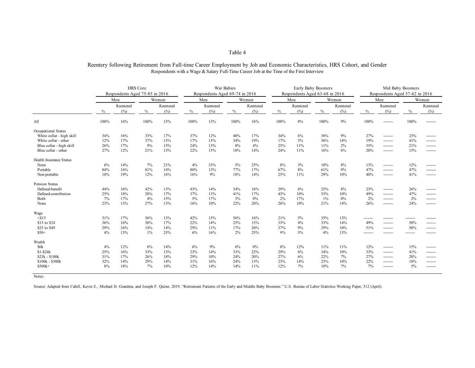## Reentery following Retirement from Full-time Career Employment by Job and Economic Characteristics, HRS Cohort, and Gender Respondents with a Wage & Salary Full-Time Career Job at the Time of the First Interview

|                                | <b>HRS</b> Core |                                |       | War Babies |              |                                |      | Early Baby Boomers |                                |           |       | Mid Baby Boomers |                                |           |       |           |  |
|--------------------------------|-----------------|--------------------------------|-------|------------|--------------|--------------------------------|------|--------------------|--------------------------------|-----------|-------|------------------|--------------------------------|-----------|-------|-----------|--|
|                                |                 | Respondents Aged 75-85 in 2016 |       |            |              | Respondents Aged 69-74 in 2016 |      |                    | Respondents Aged 63-68 in 2016 |           |       |                  | Respondents Aged 57-62 in 2016 |           |       |           |  |
|                                | Men             |                                | Women |            | Women<br>Men |                                |      | Men                |                                |           | Women |                  | Men                            |           | Women |           |  |
|                                | Reentered       |                                |       | Reentered  |              | Reentered                      |      | Reentered          |                                | Reentered |       | Reentered        |                                | Reentered |       | Reentered |  |
|                                | $\%$            | (%)                            | $\%$  | (%)        | $\%$         | (%)                            | $\%$ | (%)                | $\%$                           | (%)       | $\%$  | (%)              | $\%$                           | (%)       | $\%$  | (%)       |  |
| All                            | 100%            | 16%                            | 100%  | 15%        | 100%         | 13%                            | 100% | 16%                | 100%                           | 8%        | 100%  | $9\%$            | 100%                           |           | 100%  |           |  |
| Occupational Status            |                 |                                |       |            |              |                                |      |                    |                                |           |       |                  |                                |           |       |           |  |
| White collar - high skill      | 34%             | 16%                            | 33%   | 17%        | 37%          | 12%                            | 40%  | 17%                | 34%                            | 6%        | 38%   | 9%               | 27%                            | --------  | 23%   |           |  |
| White collar - other           | 12%             | 17%                            | 37%   | 13%        | 17%          | 15%                            | 34%  | 19%                | 17%                            | 5%        | 36%   | 14%              | 19%                            | --------  | 41%   | --------  |  |
| Blue collar - high skill       | 26%             | 17%                            | 9%    | 15%        | 24%          | 13%                            | 8%   | 4%                 | 25%                            | 11%       | 11%   | 2%               | 35%                            | --------  | 21%   | --------  |  |
| Blue collar - other            | 27%             | 12%                            | 21%   | 13%        | 22%          | 15%                            | 18%  | 14%                | 24%                            | 11%       | 16%   | 6%               | 20%                            | --------  | 15%   |           |  |
| <b>Health Insurance Status</b> |                 |                                |       |            |              |                                |      |                    |                                |           |       |                  |                                |           |       |           |  |
| None                           | 6%              | 14%                            | 7%    | 21%        | 4%           | 33%                            | 5%   | 25%                | 8%                             | 3%        | 10%   | 8%               | 13%                            | --------  | 12%   |           |  |
| Portable                       | 84%             | 16%                            | 81%   | 14%        | 80%          | 13%                            | 77%  | 17%                | 67%                            | 8%        | 61%   | 9%               | 47%                            | --------  | 47%   |           |  |
| Non-portable                   | 10%             | 19%                            | 12%   | 16%        | 16%          | 9%                             | 18%  | 14%                | 25%                            | 11%       | 29%   | 10%              | 40%                            | --------  | 41%   | --------  |  |
| <b>Pension Status</b>          |                 |                                |       |            |              |                                |      |                    |                                |           |       |                  |                                |           |       |           |  |
| Defined-benefit                | 44%             | 16%                            | 42%   | 13%        | 43%          | 14%                            | 34%  | 16%                | 29%                            | 6%        | 25%   | 8%               | 23%                            | --------  | 26%   |           |  |
| Defined-contribution           | 25%             | 18%                            | 28%   | 17%        | 37%          | 13%                            | 41%  | 17%                | 43%                            | 10%       | 53%   | 10%              | 49%                            | --------  | 47%   | --------  |  |
| Both                           | 7%              | 17%                            | 4%    | 15%        | $5\%$        | 17%                            | 3%   | 0%                 | 2%                             | 17%       | 1%    | 0%               | 2%                             | --------  | 2%    | --------  |  |
| None                           | 23%             | 13%                            | 27%   | 13%        | 16%          | 10%                            | 22%  | 20%                | 26%                            | 10%       | 21%   | 14%              | 26%                            |           | 24%   |           |  |
| Wage                           |                 |                                |       |            |              |                                |      |                    |                                |           |       |                  |                                |           |       |           |  |
| $<$ \$15                       | 31%             | 17%                            | 56%   | 13%        | 42%          | 15%                            | 56%  | 16%                | 21%                            | 5%        | 35%   | 13%              |                                |           |       |           |  |
| \$15 to \$24                   | 36%             | 16%                            | 30%   | 17%        | 22%          | 14%                            | 25%  | 15%                | 33%                            | 4%        | 33%   | 14%              | 49%                            | --------  | 50%   |           |  |
| \$25 to \$49                   | 29%             | 16%                            | 14%   | 14%        | 29%          | 11%                            | 17%  | 20%                | 37%                            | 9%        | 29%   | 10%              | 51%                            | --------  | 50%   | --------  |  |
| $$50+$                         | 4%              | 13%                            | $1\%$ | 25%        | 6%           | 16%                            | 2%   | 25%                | 9%                             | $5\%$     | 4%    | 13%              |                                |           |       |           |  |
| Wealth                         |                 |                                |       |            |              |                                |      |                    |                                |           |       |                  |                                |           |       |           |  |
| \$0k                           | 4%              | 12%                            | 6%    | 14%        | 6%           | 9%                             | 6%   | 0%                 | 8%                             | 12%       | 11%   | 11%              | 12%                            | --------  | 15%   | --------  |  |
| $$1 - $24k$                    | 25%             | 16%                            | 33%   | 13%        | 23%          | 14%                            | 33%  | 22%                | 29%                            | 6%        | 34%   | 10%              | 33%                            | --------  | 41%   | --------  |  |
| $$25k - $100k$                 | 31%             | 17%                            | 26%   | 18%        | 29%          | 10%                            | 24%  | 20%                | 27%                            | 6%        | 22%   | 7%               | 27%                            | --------  | 20%   | --------  |  |
| \$100k - \$500k                | 32%             | 14%                            | 29%   | 14%        | 31%          | 16%                            | 24%  | 13%                | 23%                            | 14%       | 23%   | 10%              | 22%                            | --------  | 18%   | --------  |  |
| $$500k+$                       | 8%              | 18%                            | 7%    | 10%        | 12%          | 14%                            | 14%  | 11%                | 12%                            | 7%        | 10%   | 7%               | 7%                             | --------  | 5%    |           |  |
|                                |                 |                                |       |            |              |                                |      |                    |                                |           |       |                  |                                |           |       |           |  |

Notes:

Source: Adapted from Cahill, Kevin E., Michael D. Giandrea, and Joseph F. Quinn. 2019. "Retirement Patterns of the Early and Middle Baby Boomers." U.S. Bureau of Labor Statistics Working Paper, 512 (April).